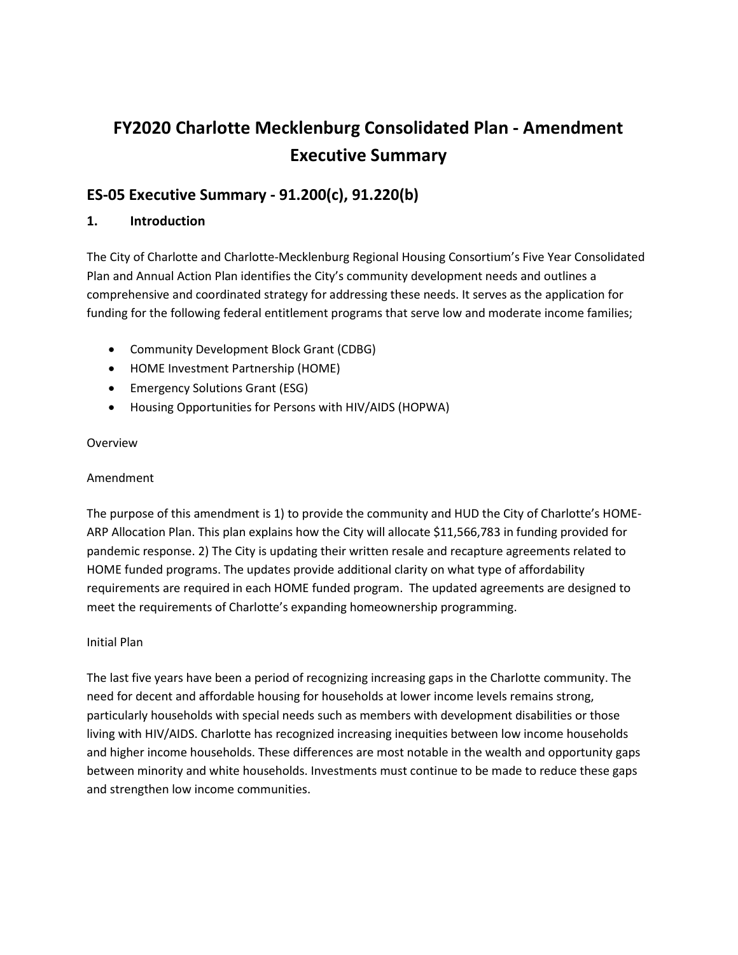# FY2020 Charlotte Mecklenburg Consolidated Plan - Amendment Executive Summary

# ES-05 Executive Summary - 91.200(c), 91.220(b)

## 1. Introduction

The City of Charlotte and Charlotte-Mecklenburg Regional Housing Consortium's Five Year Consolidated Plan and Annual Action Plan identifies the City's community development needs and outlines a comprehensive and coordinated strategy for addressing these needs. It serves as the application for funding for the following federal entitlement programs that serve low and moderate income families;

- Community Development Block Grant (CDBG)
- HOME Investment Partnership (HOME)
- Emergency Solutions Grant (ESG)
- Housing Opportunities for Persons with HIV/AIDS (HOPWA)

#### Overview

#### Amendment

The purpose of this amendment is 1) to provide the community and HUD the City of Charlotte's HOME-ARP Allocation Plan. This plan explains how the City will allocate \$11,566,783 in funding provided for pandemic response. 2) The City is updating their written resale and recapture agreements related to HOME funded programs. The updates provide additional clarity on what type of affordability requirements are required in each HOME funded program. The updated agreements are designed to meet the requirements of Charlotte's expanding homeownership programming.

#### Initial Plan

The last five years have been a period of recognizing increasing gaps in the Charlotte community. The need for decent and affordable housing for households at lower income levels remains strong, particularly households with special needs such as members with development disabilities or those living with HIV/AIDS. Charlotte has recognized increasing inequities between low income households and higher income households. These differences are most notable in the wealth and opportunity gaps between minority and white households. Investments must continue to be made to reduce these gaps and strengthen low income communities.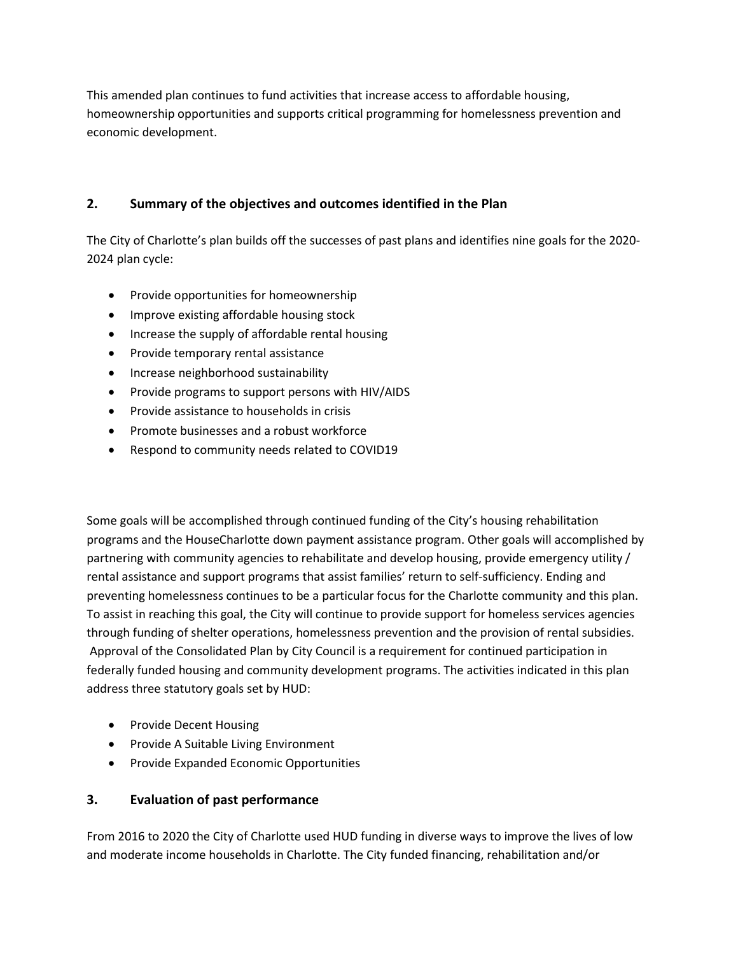This amended plan continues to fund activities that increase access to affordable housing, homeownership opportunities and supports critical programming for homelessness prevention and economic development.

# 2. Summary of the objectives and outcomes identified in the Plan

The City of Charlotte's plan builds off the successes of past plans and identifies nine goals for the 2020- 2024 plan cycle:

- Provide opportunities for homeownership
- Improve existing affordable housing stock
- Increase the supply of affordable rental housing
- Provide temporary rental assistance
- Increase neighborhood sustainability
- Provide programs to support persons with HIV/AIDS
- Provide assistance to households in crisis
- Promote businesses and a robust workforce
- Respond to community needs related to COVID19

Some goals will be accomplished through continued funding of the City's housing rehabilitation programs and the HouseCharlotte down payment assistance program. Other goals will accomplished by partnering with community agencies to rehabilitate and develop housing, provide emergency utility / rental assistance and support programs that assist families' return to self-sufficiency. Ending and preventing homelessness continues to be a particular focus for the Charlotte community and this plan. To assist in reaching this goal, the City will continue to provide support for homeless services agencies through funding of shelter operations, homelessness prevention and the provision of rental subsidies. Approval of the Consolidated Plan by City Council is a requirement for continued participation in federally funded housing and community development programs. The activities indicated in this plan address three statutory goals set by HUD:

- Provide Decent Housing
- Provide A Suitable Living Environment
- **•** Provide Expanded Economic Opportunities

# 3. Evaluation of past performance

From 2016 to 2020 the City of Charlotte used HUD funding in diverse ways to improve the lives of low and moderate income households in Charlotte. The City funded financing, rehabilitation and/or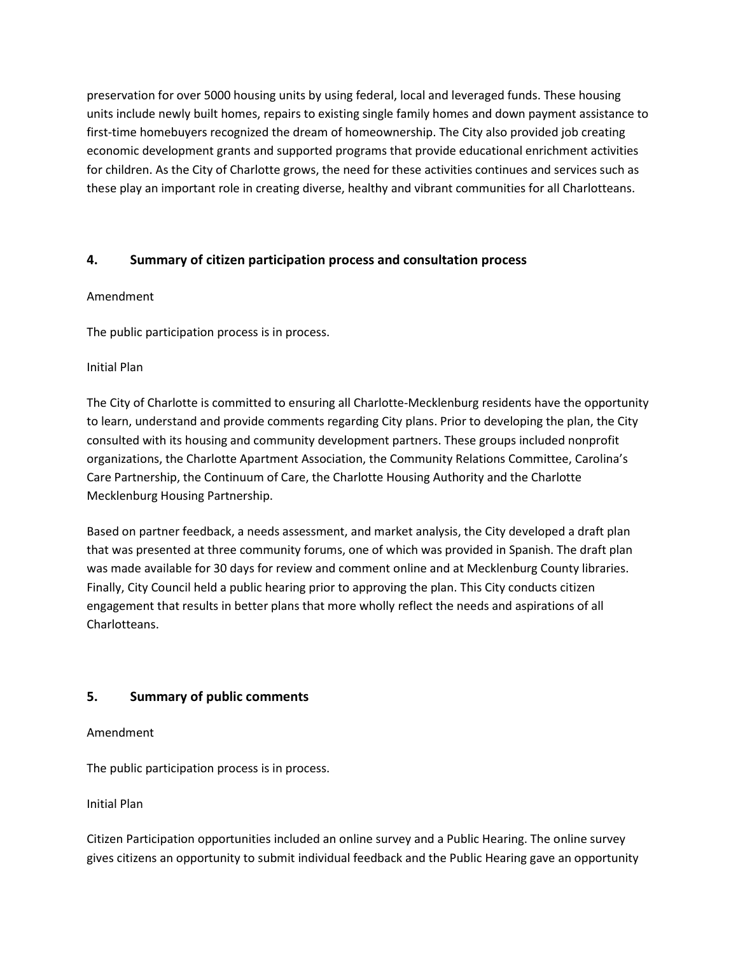preservation for over 5000 housing units by using federal, local and leveraged funds. These housing units include newly built homes, repairs to existing single family homes and down payment assistance to first-time homebuyers recognized the dream of homeownership. The City also provided job creating economic development grants and supported programs that provide educational enrichment activities for children. As the City of Charlotte grows, the need for these activities continues and services such as these play an important role in creating diverse, healthy and vibrant communities for all Charlotteans.

## 4. Summary of citizen participation process and consultation process

#### Amendment

The public participation process is in process.

#### Initial Plan

The City of Charlotte is committed to ensuring all Charlotte-Mecklenburg residents have the opportunity to learn, understand and provide comments regarding City plans. Prior to developing the plan, the City consulted with its housing and community development partners. These groups included nonprofit organizations, the Charlotte Apartment Association, the Community Relations Committee, Carolina's Care Partnership, the Continuum of Care, the Charlotte Housing Authority and the Charlotte Mecklenburg Housing Partnership.

Based on partner feedback, a needs assessment, and market analysis, the City developed a draft plan that was presented at three community forums, one of which was provided in Spanish. The draft plan was made available for 30 days for review and comment online and at Mecklenburg County libraries. Finally, City Council held a public hearing prior to approving the plan. This City conducts citizen engagement that results in better plans that more wholly reflect the needs and aspirations of all Charlotteans.

## 5. Summary of public comments

#### Amendment

The public participation process is in process.

#### Initial Plan

Citizen Participation opportunities included an online survey and a Public Hearing. The online survey gives citizens an opportunity to submit individual feedback and the Public Hearing gave an opportunity